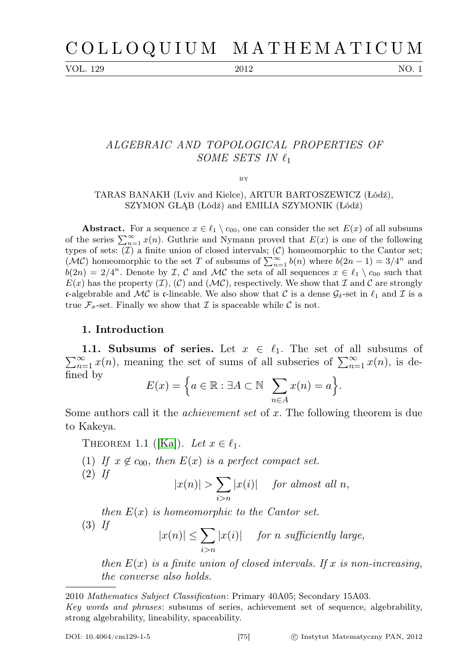VOL. 129 2012 NO. 1

# ALGEBRAIC AND TOPOLOGICAL PROPERTIES OF SOME SETS IN  $\ell_1$

BY

## TARAS BANAKH (Lviv and Kielce), ARTUR BARTOSZEWICZ (Łódź), SZYMON GŁĄB (Łódź) and EMILIA SZYMONIK (Łódź)

**Abstract.** For a sequence  $x \in \ell_1 \setminus c_{00}$ , one can consider the set  $E(x)$  of all subsums of the series  $\sum_{n=1}^{\infty} x(n)$ . Guthrie and Nymann proved that  $E(x)$  is one of the following types of sets:  $(\mathcal{I})$  a finite union of closed intervals;  $(\mathcal{C})$  homeomorphic to the Cantor set; (MC) homeomorphic to the set T of subsums of  $\sum_{n=1}^{\infty} b(n)$  where  $b(2n-1) = 3/4^n$  and  $b(2n) = 2/4^n$ . Denote by *I*, *C* and *MC* the sets of all sequences  $x \in \ell_1 \setminus c_{00}$  such that  $E(x)$  has the property  $(\mathcal{I}), (\mathcal{C})$  and  $(\mathcal{MC}),$  respectively. We show that  $\mathcal I$  and  $\mathcal C$  are strongly c-algebrable and MC is c-lineable. We also show that C is a dense  $\mathcal{G}_{\delta}$ -set in  $\ell_1$  and T is a true  $\mathcal{F}_{\sigma}$ -set. Finally we show that  $\mathcal I$  is spaceable while  $\mathcal C$  is not.

# 1. Introduction

 $\sum_{n=1}^{\infty} x(n)$ , meaning the set of sums of all subseries of  $\sum_{n=1}^{\infty} x(n)$ , is de-1.1. Subsums of series. Let  $x \in \ell_1$ . The set of all subsums of fined by

$$
E(x) = \Big\{ a \in \mathbb{R} : \exists A \subset \mathbb{N} \sum_{n \in A} x(n) = a \Big\}.
$$

Some authors call it the *achievement set* of x. The following theorem is due to Kakeya.

<span id="page-0-0"></span>THEOREM 1.1 ([\[Ka\]](#page-10-0)). Let  $x \in \ell_1$ .

(1) If  $x \notin c_{00}$ , then  $E(x)$  is a perfect compact set.

$$
|x(n)| > \sum_{i>n} |x(i)| \quad \text{ for almost all } n,
$$

then  $E(x)$  is homeomorphic to the Cantor set.

(3) If

 $(2)$  If

$$
|x(n)| \le \sum_{i>n} |x(i)| \quad \text{ for } n \text{ sufficiently large,}
$$

then  $E(x)$  is a finite union of closed intervals. If x is non-increasing, the converse also holds.

<sup>2010</sup> Mathematics Subject Classification: Primary 40A05; Secondary 15A03.

Key words and phrases: subsums of series, achievement set of sequence, algebrability, strong algebrability, lineability, spaceability.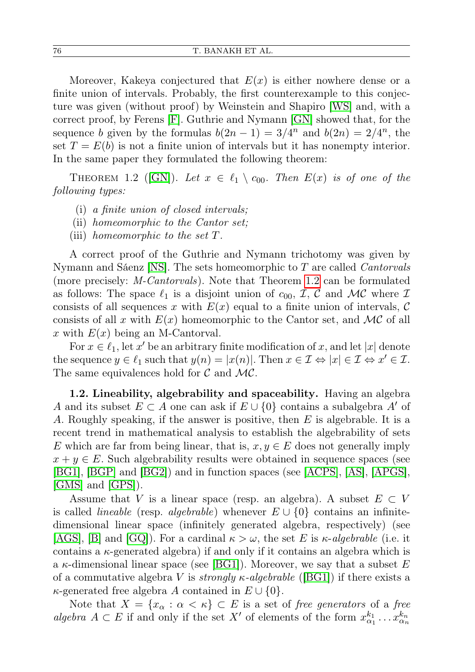Moreover, Kakeya conjectured that  $E(x)$  is either nowhere dense or a finite union of intervals. Probably, the first counterexample to this conjecture was given (without proof) by Weinstein and Shapiro [\[WS\]](#page-10-1) and, with a correct proof, by Ferens [\[F\]](#page-10-2). Guthrie and Nymann [\[GN\]](#page-10-3) showed that, for the sequence b given by the formulas  $b(2n-1) = 3/4^n$  and  $b(2n) = 2/4^n$ , the set  $T = E(b)$  is not a finite union of intervals but it has nonempty interior. In the same paper they formulated the following theorem:

<span id="page-1-0"></span>THEOREM 1.2 ([\[GN\]](#page-10-3)). Let  $x \in \ell_1 \setminus c_{00}$ . Then  $E(x)$  is of one of the following types:

- (i) a finite union of closed intervals;
- (ii) homeomorphic to the Cantor set;
- (iii) homeomorphic to the set T.

A correct proof of the Guthrie and Nymann trichotomy was given by Nymann and Sáenz [\[NS\]](#page-10-4). The sets homeomorphic to T are called Cantorvals (more precisely: M-Cantorvals). Note that Theorem [1.2](#page-1-0) can be formulated as follows: The space  $\ell_1$  is a disjoint union of  $c_{00}$ ,  $\mathcal{I}, \mathcal{C}$  and  $\mathcal{MC}$  where  $\mathcal{I}$ consists of all sequences x with  $E(x)$  equal to a finite union of intervals, C consists of all x with  $E(x)$  homeomorphic to the Cantor set, and MC of all x with  $E(x)$  being an M-Cantorval.

For  $x \in \ell_1$ , let  $x'$  be an arbitrary finite modification of x, and let |x| denote the sequence  $y \in \ell_1$  such that  $y(n) = |x(n)|$ . Then  $x \in \mathcal{I} \Leftrightarrow |x| \in \mathcal{I} \Leftrightarrow x' \in \mathcal{I}$ . The same equivalences hold for  $\mathcal C$  and  $\mathcal{MC}$ .

1.2. Lineability, algebrability and spaceability. Having an algebra A and its subset  $E \subset A$  one can ask if  $E \cup \{0\}$  contains a subalgebra A' of A. Roughly speaking, if the answer is positive, then  $E$  is algebrable. It is a recent trend in mathematical analysis to establish the algebrability of sets E which are far from being linear, that is,  $x, y \in E$  does not generally imply  $x + y \in E$ . Such algebrability results were obtained in sequence spaces (see [\[BG1\]](#page-10-5), [\[BGP\]](#page-10-6) and [\[BG2\]](#page-10-7)) and in function spaces (see [\[ACPS\]](#page-9-0), [\[AS\]](#page-9-1), [\[APGS\]](#page-9-2), [\[GMS\]](#page-10-8) and [\[GPS\]](#page-10-9)).

Assume that V is a linear space (resp. an algebra). A subset  $E \subset V$ is called *lineable* (resp. *algebrable*) whenever  $E \cup \{0\}$  contains an infinitedimensional linear space (infinitely generated algebra, respectively) (see [\[AGS\]](#page-9-3), [\[B\]](#page-10-10) and [\[GQ\]](#page-10-11)). For a cardinal  $\kappa > \omega$ , the set E is  $\kappa$ -algebrable (i.e. it contains a  $\kappa$ -generated algebra) if and only if it contains an algebra which is a  $\kappa$ -dimensional linear space (see [\[BG1\]](#page-10-5)). Moreover, we say that a subset E of a commutative algebra V is *strongly*  $\kappa$ -algebrable ([\[BG1\]](#page-10-5)) if there exists a  $\kappa$ -generated free algebra A contained in  $E \cup \{0\}.$ 

Note that  $X = \{x_\alpha : \alpha < \kappa\} \subset E$  is a set of free generators of a free algebra  $A \subset E$  if and only if the set X' of elements of the form  $x_{\alpha_1}^{k_1} \ldots x_{\alpha_n}^{k_n}$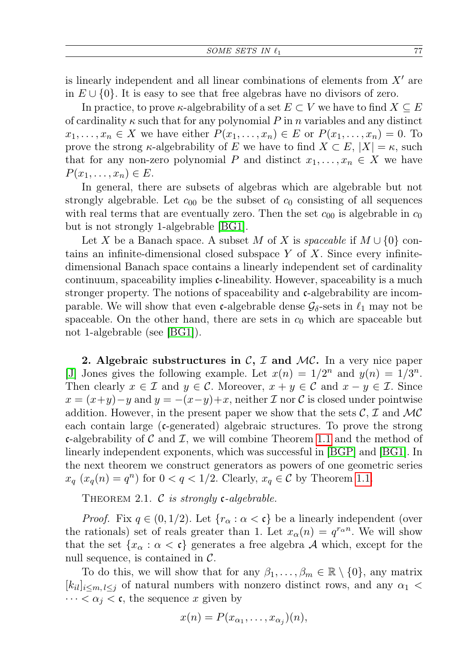is linearly independent and all linear combinations of elements from  $X'$  are in  $E \cup \{0\}$ . It is easy to see that free algebras have no divisors of zero.

In practice, to prove  $\kappa$ -algebrability of a set  $E \subset V$  we have to find  $X \subseteq E$ of cardinality  $\kappa$  such that for any polynomial P in n variables and any distinct  $x_1, \ldots, x_n \in X$  we have either  $P(x_1, \ldots, x_n) \in E$  or  $P(x_1, \ldots, x_n) = 0$ . To prove the strong  $\kappa$ -algebrability of E we have to find  $X \subset E$ ,  $|X| = \kappa$ , such that for any non-zero polynomial P and distinct  $x_1, \ldots, x_n \in X$  we have  $P(x_1,\ldots,x_n)\in E$ .

In general, there are subsets of algebras which are algebrable but not strongly algebrable. Let  $c_{00}$  be the subset of  $c_0$  consisting of all sequences with real terms that are eventually zero. Then the set  $c_{00}$  is algebrable in  $c_{0}$ but is not strongly 1-algebrable [\[BG1\]](#page-10-5).

Let X be a Banach space. A subset M of X is spaceable if  $M \cup \{0\}$  contains an infinite-dimensional closed subspace  $Y$  of  $X$ . Since every infinitedimensional Banach space contains a linearly independent set of cardinality continuum, spaceability implies c-lineability. However, spaceability is a much stronger property. The notions of spaceability and c-algebrability are incomparable. We will show that even c-algebrable dense  $\mathcal{G}_{\delta}$ -sets in  $\ell_1$  may not be spaceable. On the other hand, there are sets in  $c_0$  which are spaceable but not 1-algebrable (see [\[BG1\]](#page-10-5)).

2. Algebraic substructures in  $\mathcal{C}, \mathcal{I}$  and  $\mathcal{MC}$ . In a very nice paper [\[J\]](#page-10-12) Jones gives the following example. Let  $x(n) = 1/2^n$  and  $y(n) = 1/3^n$ . Then clearly  $x \in \mathcal{I}$  and  $y \in \mathcal{C}$ . Moreover,  $x + y \in \mathcal{C}$  and  $x - y \in \mathcal{I}$ . Since  $x = (x+y)-y$  and  $y = -(x-y)+x$ , neither  $\mathcal I$  nor  $\mathcal C$  is closed under pointwise addition. However, in the present paper we show that the sets  $\mathcal{C}, \mathcal{I}$  and  $\mathcal{MC}$ each contain large  $(c$ -generated) algebraic structures. To prove the strong c-algebrability of C and I, we will combine Theorem [1.1](#page-0-0) and the method of linearly independent exponents, which was successful in [\[BGP\]](#page-10-6) and [\[BG1\]](#page-10-5). In the next theorem we construct generators as powers of one geometric series  $x_q(x_q(n) = q^n)$  for  $0 < q < 1/2$ . Clearly,  $x_q \in \mathcal{C}$  by Theorem [1.1.](#page-0-0)

THEOREM 2.1.  $\mathcal C$  is strongly c-algebrable.

*Proof.* Fix  $q \in (0, 1/2)$ . Let  $\{r_{\alpha} : \alpha < \mathfrak{c}\}\)$  be a linearly independent (over the rationals) set of reals greater than 1. Let  $x_{\alpha}(n) = q^{r_{\alpha}n}$ . We will show that the set  $\{x_\alpha : \alpha < \mathfrak{c}\}\$  generates a free algebra A which, except for the null sequence, is contained in  $\mathcal{C}$ .

To do this, we will show that for any  $\beta_1, \ldots, \beta_m \in \mathbb{R} \setminus \{0\}$ , any matrix  $[k_{il}]_{i\leq m, l\leq j}$  of natural numbers with nonzero distinct rows, and any  $\alpha_1$  <  $\cdots < \alpha_j < \mathfrak{c}$ , the sequence x given by

$$
x(n) = P(x_{\alpha_1}, \ldots, x_{\alpha_j})(n),
$$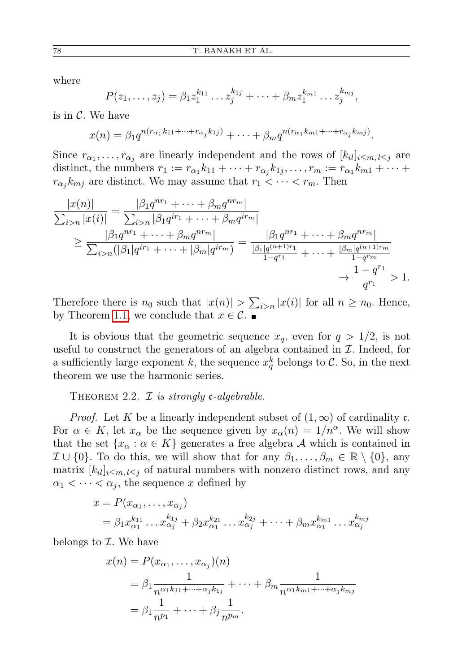where

$$
P(z_1,\ldots,z_j)=\beta_1z_1^{k_{11}}\ldots z_j^{k_{1j}}+\cdots+\beta_mz_1^{k_{m1}}\ldots z_j^{k_{mj}},
$$

is in  $\mathcal{C}$ . We have

$$
x(n) = \beta_1 q^{n(r_{\alpha_1}k_{11} + \dots + r_{\alpha_j}k_{1j})} + \dots + \beta_m q^{n(r_{\alpha_1}k_{m1} + \dots + r_{\alpha_j}k_{mj})}.
$$

Since  $r_{\alpha_1}, \ldots, r_{\alpha_j}$  are linearly independent and the rows of  $[k_{il}]_{i \leq m, l \leq j}$  are distinct, the numbers  $r_1 := r_{\alpha_1} k_{11} + \cdots + r_{\alpha_j} k_{1j}, \ldots, r_m := r_{\alpha_1} k_{m1} + \cdots +$  $r_{\alpha_j} k_{mj}$  are distinct. We may assume that  $r_1 < \cdots < r_m$ . Then

$$
\frac{|x(n)|}{\sum_{i>n}|x(i)|} = \frac{|\beta_1 q^{nr_1} + \dots + \beta_m q^{nr_m}|}{\sum_{i>n}|q^{nr_1} + \dots + \beta_m q^{nr_m}|} \n\geq \frac{|\beta_1 q^{nr_1} + \dots + \beta_m q^{nr_m}|}{\sum_{i>n}(|\beta_1|q^{ir_1} + \dots + |\beta_m|q^{ir_m})} = \frac{|\beta_1 q^{nr_1} + \dots + \beta_m q^{nr_m}|}{\frac{|\beta_1|q^{(n+1)r_1}}{1 - q^{r_1}} + \dots + \frac{|\beta_m|q^{(n+1)r_m}}{1 - q^{rn_m}} \n\to \frac{1 - q^{r_1}}{q^{r_1}} > 1.
$$

Therefore there is  $n_0$  such that  $|x(n)| > \sum_{i>n} |x(i)|$  for all  $n \ge n_0$ . Hence, by Theorem [1.1,](#page-0-0) we conclude that  $x \in \mathcal{C}$ .

It is obvious that the geometric sequence  $x_q$ , even for  $q > 1/2$ , is not useful to construct the generators of an algebra contained in  $\mathcal I$ . Indeed, for a sufficiently large exponent k, the sequence  $x_q^k$  belongs to C. So, in the next theorem we use the harmonic series.

## THEOREM 2.2.  $\mathcal I$  is strongly c-algebrable.

*Proof.* Let K be a linearly independent subset of  $(1, \infty)$  of cardinality c. For  $\alpha \in K$ , let  $x_{\alpha}$  be the sequence given by  $x_{\alpha}(n) = 1/n^{\alpha}$ . We will show that the set  $\{x_\alpha : \alpha \in K\}$  generates a free algebra A which is contained in  $\mathcal{I} \cup \{0\}$ . To do this, we will show that for any  $\beta_1, \ldots, \beta_m \in \mathbb{R} \setminus \{0\}$ , any matrix  $[k_{il}]_{i \leq m, l \leq j}$  of natural numbers with nonzero distinct rows, and any  $\alpha_1 < \cdots < \alpha_j$ , the sequence x defined by

$$
x = P(x_{\alpha_1}, \dots, x_{\alpha_j})
$$
  
=  $\beta_1 x_{\alpha_1}^{k_{11}} \dots x_{\alpha_j}^{k_{1j}} + \beta_2 x_{\alpha_1}^{k_{21}} \dots x_{\alpha_j}^{k_{2j}} + \dots + \beta_m x_{\alpha_1}^{k_{m1}} \dots x_{\alpha_j}^{k_{mj}}$ 

belongs to  $\mathcal I$ . We have

$$
x(n) = P(x_{\alpha_1}, \dots, x_{\alpha_j})(n)
$$
  
=  $\beta_1 \frac{1}{n^{\alpha_1 k_{11} + \dots + \alpha_j k_{1j}}} + \dots + \beta_m \frac{1}{n^{\alpha_1 k_{m1} + \dots + \alpha_j k_{mj}}}$   
=  $\beta_1 \frac{1}{n^{p_1}} + \dots + \beta_j \frac{1}{n^{p_m}}.$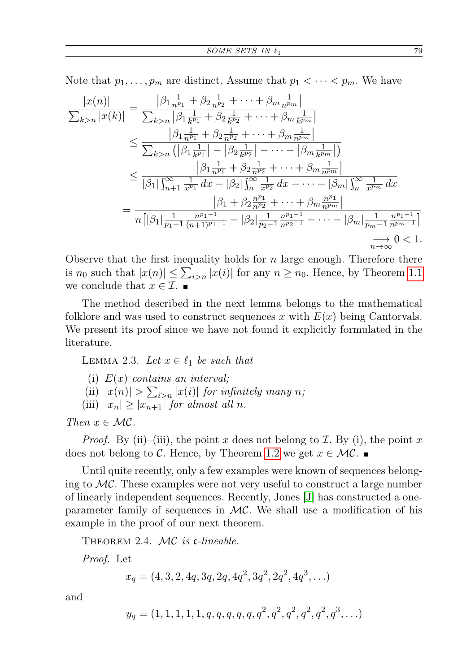Note that  $p_1, \ldots, p_m$  are distinct. Assume that  $p_1 < \cdots < p_m$ . We have

$$
\frac{|x(n)|}{\sum_{k>n} |x(k)|} = \frac{|\beta_1 \frac{1}{n^{p_1}} + \beta_2 \frac{1}{n^{p_2}} + \dots + \beta_m \frac{1}{n^{p_m}}|}{\sum_{k>n} |\beta_1 \frac{1}{k^{p_1}} + \beta_2 \frac{1}{k^{p_2}} + \dots + \beta_m \frac{1}{k^{p_m}}|}
$$
\n
$$
\leq \frac{|\beta_1 \frac{1}{n^{p_1}} + \beta_2 \frac{1}{n^{p_2}} + \dots + \beta_m \frac{1}{n^{p_m}}|}{\sum_{k>n} (|\beta_1 \frac{1}{k^{p_1}}| - |\beta_2 \frac{1}{k^{p_2}}| - \dots - |\beta_m \frac{1}{k^{p_m}}|)}
$$
\n
$$
\leq \frac{|\beta_1 \frac{1}{n^{p_1}} + \beta_2 \frac{1}{n^{p_2}} + \dots + \beta_m \frac{1}{n^{p_m}}|}{|\beta_1| \int_{n+1}^{\infty} \frac{1}{x^{p_1}} dx - |\beta_2| \int_{n}^{\infty} \frac{1}{x^{p_2}} dx - \dots - |\beta_m| \int_{n}^{\infty} \frac{1}{x^{p_m}} dx}
$$
\n
$$
= \frac{|\beta_1 + \beta_2 \frac{n^{p_1}}{n^{p_2}} + \dots + \beta_m \frac{n^{p_1}}{n^{p_m}}|}{n[|\beta_1| \frac{1}{p_1 - 1} \frac{n^{p_1 - 1}}{(n + 1)^{p_1 - 1}} - |\beta_2| \frac{1}{p_2 - 1} \frac{n^{p_1 - 1}}{n^{p_2 - 1}} - \dots - |\beta_m| \frac{1}{p_m - 1} \frac{n^{p_1 - 1}}{n^{p_m - 1}}]}
$$
\n
$$
\xrightarrow{n \to \infty} 0 < 1.
$$

Observe that the first inequality holds for  $n$  large enough. Therefore there is  $n_0$  such that  $|x(n)| \leq \sum_{i>n} |x(i)|$  for any  $n \geq n_0$ . Hence, by Theorem [1.1](#page-0-0) we conclude that  $x \in \mathcal{I}$ .

The method described in the next lemma belongs to the mathematical folklore and was used to construct sequences x with  $E(x)$  being Cantorvals. We present its proof since we have not found it explicitly formulated in the literature.

<span id="page-4-0"></span>LEMMA 2.3. Let  $x \in \ell_1$  be such that

- (i)  $E(x)$  contains an interval;
- (ii)  $|x(n)| > \sum_{i>n} |x(i)|$  for infinitely many n;

(iii)  $|x_n| \ge |x_{n+1}|$  for almost all n.

Then  $x \in \mathcal{MC}$ .

*Proof.* By (ii)–(iii), the point x does not belong to  $\mathcal{I}$ . By (i), the point x does not belong to C. Hence, by Theorem [1.2](#page-1-0) we get  $x \in \mathcal{MC}$ .

Until quite recently, only a few examples were known of sequences belonging to  $\mathcal{MC}$ . These examples were not very useful to construct a large number of linearly independent sequences. Recently, Jones [\[J\]](#page-10-12) has constructed a oneparameter family of sequences in  $MC$ . We shall use a modification of his example in the proof of our next theorem.

THEOREM 2.4. MC is c-lineable.

Proof. Let

$$
x_q = (4, 3, 2, 4q, 3q, 2q, 4q^2, 3q^2, 2q^2, 4q^3, \ldots)
$$

and

$$
y_q = (1, 1, 1, 1, 1, q, q, q, q, q, q^2, q^2, q^2, q^2, q^2, q^3, \ldots)
$$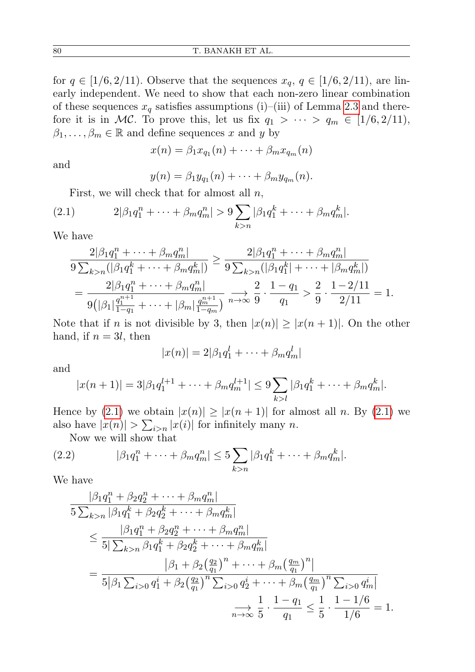for  $q \in [1/6, 2/11]$ . Observe that the sequences  $x_q, q \in [1/6, 2/11]$ , are linearly independent. We need to show that each non-zero linear combination of these sequences  $x_q$  satisfies assumptions (i)–(iii) of Lemma [2.3](#page-4-0) and therefore it is in MC. To prove this, let us fix  $q_1 > \cdots > q_m \in [1/6, 2/11],$  $\beta_1, \ldots, \beta_m \in \mathbb{R}$  and define sequences x and y by

$$
x(n) = \beta_1 x_{q_1}(n) + \cdots + \beta_m x_{q_m}(n)
$$

and

$$
y(n) = \beta_1 y_{q_1}(n) + \cdots + \beta_m y_{q_m}(n).
$$

<span id="page-5-0"></span>First, we will check that for almost all  $n$ ,

(2.1) 
$$
2|\beta_1 q_1^n + \dots + \beta_m q_m^n| > 9 \sum_{k > n} |\beta_1 q_1^k + \dots + \beta_m q_m^k|.
$$

We have

$$
\frac{2|\beta_1 q_1^n + \dots + \beta_m q_m^n|}{9 \sum_{k>n} (|\beta_1 q_1^k + \dots + \beta_m q_m^k|)} \ge \frac{2|\beta_1 q_1^n + \dots + \beta_m q_m^n|}{9 \sum_{k>n} (|\beta_1 q_1^k| + \dots + |\beta_m q_m^k|)}
$$
  
= 
$$
\frac{2|\beta_1 q_1^n + \dots + \beta_m q_m^n|}{9(|\beta_1| \frac{q_1^{n+1}}{1-q_1} + \dots + |\beta_m| \frac{q_m^{n+1}}{1-q_m})} \xrightarrow{n \to \infty} \frac{2}{9} \cdot \frac{1-q_1}{q_1} > \frac{2}{9} \cdot \frac{1-2/11}{2/11} = 1.
$$

Note that if n is not divisible by 3, then  $|x(n)| \geq |x(n+1)|$ . On the other hand, if  $n = 3l$ , then

$$
|x(n)| = 2|\beta_1 q_1^l + \dots + \beta_m q_m^l|
$$

and

$$
|x(n+1)| = 3|\beta_1 q_1^{l+1} + \dots + \beta_m q_m^{l+1}| \leq 9 \sum_{k>l} |\beta_1 q_1^k + \dots + \beta_m q_m^k|.
$$

Hence by [\(2.1\)](#page-5-0) we obtain  $|x(n)| \ge |x(n+1)|$  for almost all n. By (2.1) we also have  $|x(n)| > \sum_{i>n} |x(i)|$  for infinitely many n.

<span id="page-5-1"></span>Now we will show that

(2.2) 
$$
|\beta_1 q_1^n + \dots + \beta_m q_m^n| \leq 5 \sum_{k > n} |\beta_1 q_1^k + \dots + \beta_m q_m^k|.
$$

We have

$$
\frac{|\beta_1 q_1^n + \beta_2 q_2^n + \dots + \beta_m q_m^n|}{5 \sum_{k>n} |\beta_1 q_1^k + \beta_2 q_2^k + \dots + \beta_m q_m^k|} \le \frac{|\beta_1 q_1^n + \beta_2 q_2^n + \dots + \beta_m q_m^n|}{5 |\sum_{k>n} \beta_1 q_1^k + \beta_2 q_2^k + \dots + \beta_m q_m^k|} \n= \frac{|\beta_1 + \beta_2 \left(\frac{q_2}{q_1}\right)^n + \dots + \beta_m \left(\frac{q_m}{q_1}\right)^n|}{5 |\beta_1 \sum_{i>0} q_1^i + \beta_2 \left(\frac{q_2}{q_1}\right)^n \sum_{i>0} q_2^i + \dots + \beta_m \left(\frac{q_m}{q_1}\right)^n \sum_{i>0} q_m^i|} \n\Rightarrow \frac{1}{5} \cdot \frac{1 - q_1}{1/6} \le \frac{1}{5} \cdot \frac{1 - 1/6}{1/6} = 1.
$$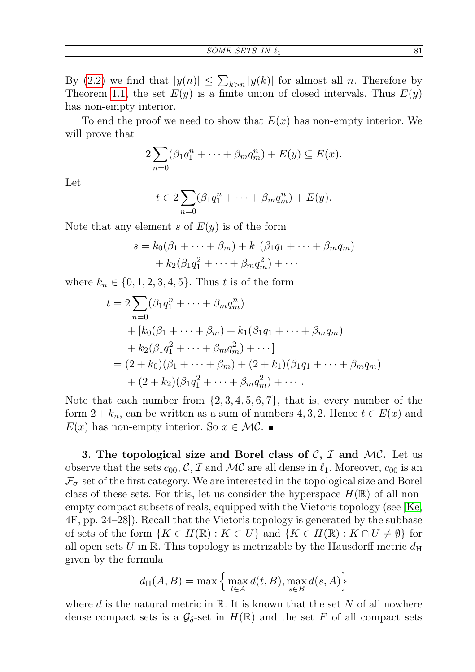By [\(2.2\)](#page-5-1) we find that  $|y(n)| \leq \sum_{k>n} |y(k)|$  for almost all n. Therefore by Theorem [1.1,](#page-0-0) the set  $E(y)$  is a finite union of closed intervals. Thus  $E(y)$ has non-empty interior.

To end the proof we need to show that  $E(x)$  has non-empty interior. We will prove that

$$
2\sum_{n=0}(\beta_1q_1^n+\cdots+\beta_mq_m^n)+E(y)\subseteq E(x).
$$

Let

$$
t\in 2\sum_{n=0}(\beta_1q_1^n+\cdots+\beta_mq_m^n)+E(y).
$$

Note that any element s of  $E(y)$  is of the form

$$
s = k_0(\beta_1 + \dots + \beta_m) + k_1(\beta_1 q_1 + \dots + \beta_m q_m)
$$

$$
+ k_2(\beta_1 q_1^2 + \dots + \beta_m q_m^2) + \dots
$$

where  $k_n \in \{0, 1, 2, 3, 4, 5\}$ . Thus t is of the form

$$
t = 2 \sum_{n=0}^{\infty} (\beta_1 q_1^n + \dots + \beta_m q_m^n)
$$
  
+  $[k_0(\beta_1 + \dots + \beta_m) + k_1(\beta_1 q_1 + \dots + \beta_m q_m)$   
+  $k_2(\beta_1 q_1^2 + \dots + \beta_m q_m^2) + \dots ]$   
=  $(2 + k_0)(\beta_1 + \dots + \beta_m) + (2 + k_1)(\beta_1 q_1 + \dots + \beta_m q_m)$   
+  $(2 + k_2)(\beta_1 q_1^2 + \dots + \beta_m q_m^2) + \dots$ 

Note that each number from  $\{2, 3, 4, 5, 6, 7\}$ , that is, every number of the form  $2 + k_n$ , can be written as a sum of numbers 4, 3, 2. Hence  $t \in E(x)$  and  $E(x)$  has non-empty interior. So  $x \in \mathcal{MC}$ .

3. The topological size and Borel class of  $\mathcal{C}, \mathcal{I}$  and  $\mathcal{MC}$ . Let us observe that the sets  $c_{00}$ , C, I and MC are all dense in  $\ell_1$ . Moreover,  $c_{00}$  is an  $\mathcal{F}_{\sigma}$ -set of the first category. We are interested in the topological size and Borel class of these sets. For this, let us consider the hyperspace  $H(\mathbb{R})$  of all nonempty compact subsets of reals, equipped with the Vietoris topology (see [\[Ke,](#page-10-13) 4F, pp. 24–28]). Recall that the Vietoris topology is generated by the subbase of sets of the form  $\{K \in H(\mathbb{R}) : K \subset U\}$  and  $\{K \in H(\mathbb{R}) : K \cap U \neq \emptyset\}$  for all open sets U in R. This topology is metrizable by the Hausdorff metric  $d_H$ given by the formula

$$
d_{\mathrm{H}}(A, B) = \max \left\{ \max_{t \in A} d(t, B), \max_{s \in B} d(s, A) \right\}
$$

where d is the natural metric in  $\mathbb{R}$ . It is known that the set N of all nowhere dense compact sets is a  $\mathcal{G}_{\delta}$ -set in  $H(\mathbb{R})$  and the set F of all compact sets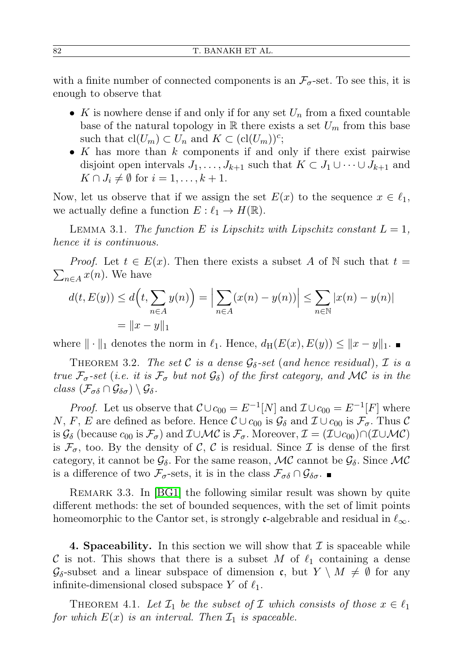with a finite number of connected components is an  $\mathcal{F}_{\sigma}$ -set. To see this, it is enough to observe that

- K is nowhere dense if and only if for any set  $U_n$  from a fixed countable base of the natural topology in  $\mathbb R$  there exists a set  $U_m$  from this base such that  $\text{cl}(U_m) \subset U_n$  and  $K \subset (\text{cl}(U_m))^c$ ;
- K has more than  $k$  components if and only if there exist pairwise disjoint open intervals  $J_1, \ldots, J_{k+1}$  such that  $K \subset J_1 \cup \cdots \cup J_{k+1}$  and  $K \cap J_i \neq \emptyset$  for  $i = 1, \ldots, k + 1$ .

Now, let us observe that if we assign the set  $E(x)$  to the sequence  $x \in \ell_1$ , we actually define a function  $E: \ell_1 \to H(\mathbb{R})$ .

LEMMA 3.1. The function E is Lipschitz with Lipschitz constant  $L = 1$ , hence it is continuous.

 $\sum_{n\in A} x(n)$ . We have *Proof.* Let  $t \in E(x)$ . Then there exists a subset A of N such that  $t =$ 

$$
d(t, E(y)) \le d\Big(t, \sum_{n \in A} y(n)\Big) = \Big| \sum_{n \in A} (x(n) - y(n)) \Big| \le \sum_{n \in \mathbb{N}} |x(n) - y(n)|
$$
  
=  $||x - y||_1$ 

where  $\|\cdot\|_1$  denotes the norm in  $\ell_1$ . Hence,  $d_H(E(x), E(y)) \leq ||x - y||_1$ .

THEOREM 3.2. The set C is a dense  $\mathcal{G}_{\delta}$ -set (and hence residual),  $\mathcal{I}$  is a true  $\mathcal{F}_{\sigma}$ -set (i.e. it is  $\mathcal{F}_{\sigma}$  but not  $\mathcal{G}_{\delta}$ ) of the first category, and MC is in the class  $(\mathcal{F}_{\sigma\delta}\cap\mathcal{G}_{\delta\sigma})\setminus\mathcal{G}_{\delta}$ .

*Proof.* Let us observe that  $\mathcal{C} \cup c_{00} = E^{-1}[N]$  and  $\mathcal{I} \cup c_{00} = E^{-1}[F]$  where N, F, E are defined as before. Hence  $\mathcal{C} \cup c_{00}$  is  $\mathcal{G}_{\delta}$  and  $\mathcal{I} \cup c_{00}$  is  $\mathcal{F}_{\sigma}$ . Thus  $\mathcal{C}$ is  $\mathcal{G}_{\delta}$  (because  $c_{00}$  is  $\mathcal{F}_{\sigma}$ ) and  $\mathcal{I}\cup\mathcal{MC}$  is  $\mathcal{F}_{\sigma}$ . Moreover,  $\mathcal{I}=(\mathcal{I}\cup c_{00})\cap(\mathcal{I}\cup\mathcal{MC})$ is  $\mathcal{F}_{\sigma}$ , too. By the density of C, C is residual. Since T is dense of the first category, it cannot be  $\mathcal{G}_{\delta}$ . For the same reason, MC cannot be  $\mathcal{G}_{\delta}$ . Since MC is a difference of two  $\mathcal{F}_{\sigma}$ -sets, it is in the class  $\mathcal{F}_{\sigma\delta} \cap \mathcal{G}_{\delta\sigma}$ .

REMARK 3.3. In [\[BG1\]](#page-10-5) the following similar result was shown by quite different methods: the set of bounded sequences, with the set of limit points homeomorphic to the Cantor set, is strongly c-algebrable and residual in  $\ell_{\infty}$ .

**4. Spaceability.** In this section we will show that  $\mathcal{I}$  is spaceable while C is not. This shows that there is a subset M of  $\ell_1$  containing a dense  $\mathcal{G}_{\delta}$ -subset and a linear subspace of dimension c, but  $Y \setminus M \neq \emptyset$  for any infinite-dimensional closed subspace Y of  $\ell_1$ .

<span id="page-7-0"></span>THEOREM 4.1. Let  $\mathcal{I}_1$  be the subset of  $\mathcal I$  which consists of those  $x \in \ell_1$ for which  $E(x)$  is an interval. Then  $\mathcal{I}_1$  is spaceable.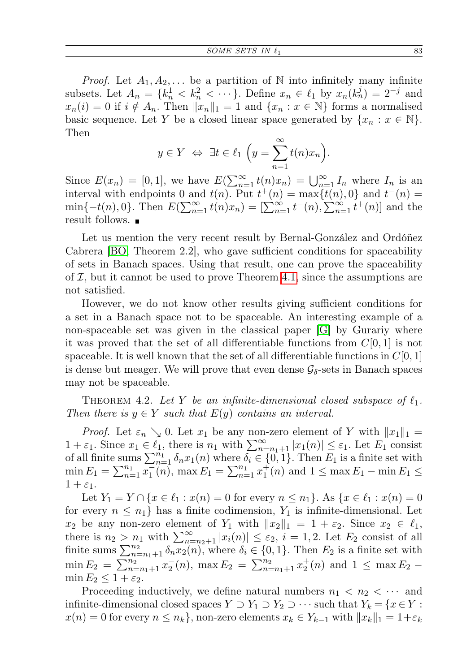*Proof.* Let  $A_1, A_2, \ldots$  be a partition of N into infinitely many infinite subsets. Let  $A_n = \{k_n^1 < k_n^2 < \cdots\}$ . Define  $x_n \in \ell_1$  by  $x_n(k_n^j) = 2^{-j}$  and  $x_n(i) = 0$  if  $i \notin A_n$ . Then  $||x_n||_1 = 1$  and  $\{x_n : x \in \mathbb{N}\}\)$  forms a normalised basic sequence. Let Y be a closed linear space generated by  $\{x_n : x \in \mathbb{N}\}.$ Then

$$
y \in Y \iff \exists t \in \ell_1 \left( y = \sum_{n=1}^{\infty} t(n)x_n \right).
$$

Since  $E(x_n) = [0,1]$ , we have  $E(\sum_{n=1}^{\infty} t(n)x_n) = \bigcup_{n=1}^{\infty} I_n$  where  $I_n$  is an interval with endpoints 0 and  $t(n)$ . Put  $t^+(n) = \max\{t(n), 0\}$  and  $t^-(n) =$  $\min\{-t(n),0\}$ . Then  $E(\sum_{n=1}^{\infty} t(n)x_n) = [\sum_{n=1}^{\infty} t^{-}(n), \sum_{n=1}^{\infty} t^{+}(n)]$  and the result follows.

Let us mention the very recent result by Bernal-González and Ordóñez Cabrera [\[BO,](#page-10-14) Theorem 2.2], who gave sufficient conditions for spaceability of sets in Banach spaces. Using that result, one can prove the spaceability of  $I$ , but it cannot be used to prove Theorem [4.1,](#page-7-0) since the assumptions are not satisfied.

However, we do not know other results giving sufficient conditions for a set in a Banach space not to be spaceable. An interesting example of a non-spaceable set was given in the classical paper [\[G\]](#page-10-15) by Gurariy where it was proved that the set of all differentiable functions from  $C[0, 1]$  is not spaceable. It is well known that the set of all differentiable functions in  $C[0, 1]$ is dense but meager. We will prove that even dense  $\mathcal{G}_{\delta}$ -sets in Banach spaces may not be spaceable.

THEOREM 4.2. Let Y be an infinite-dimensional closed subspace of  $\ell_1$ . Then there is  $y \in Y$  such that  $E(y)$  contains an interval.

*Proof.* Let  $\varepsilon_n \searrow 0$ . Let  $x_1$  be any non-zero element of Y with  $||x_1||_1 =$  $1 + \varepsilon_1$ . Since  $x_1 \in \widehat{\ell_1}$ , there is  $n_1$  with  $\sum_{n=n_1+1}^{\infty} |x_1(n)| \leq \varepsilon_1$ . Let  $E_1$  consist of all finite sums  $\sum_{n=1}^{n_1} \delta_n x_1(n)$  where  $\delta_i \in \{0, 1\}$ . Then  $E_1$  is a finite set with  $\min E_1 = \sum_{n=1}^{n_1} \overline{x_1}(n)$ ,  $\max E_1 = \sum_{n=1}^{n_1} x_1^+(n)$  and  $1 \le \max E_1 - \min E_1 \le$  $1+\varepsilon_1$ .

Let  $Y_1 = Y \cap \{x \in \ell_1 : x(n) = 0 \text{ for every } n \leq n_1\}$ . As  $\{x \in \ell_1 : x(n) = 0\}$ for every  $n \leq n_1$  has a finite codimension,  $Y_1$  is infinite-dimensional. Let  $x_2$  be any non-zero element of  $Y_1$  with  $||x_2||_1 = 1 + \varepsilon_2$ . Since  $x_2 \in \ell_1$ , there is  $n_2 > n_1$  with  $\sum_{n=n_2+1}^{\infty} |x_i(n)| \leq \varepsilon_2$ ,  $i = 1, 2$ . Let  $E_2$  consist of all finite sums  $\sum_{n=n_1+1}^{n_2} \delta_n x_2(n)$ , where  $\delta_i \in \{0,1\}$ . Then  $E_2$  is a finite set with  $\min E_2 = \sum_{n=n_1+1}^{n_2} x_2^-(n)$ ,  $\max E_2 = \sum_{n=n_1+1}^{n_2} x_2^+(n)$  and  $1 \le \max E_2$  $\min E_2 \leq 1+\varepsilon_2$ .

Proceeding inductively, we define natural numbers  $n_1 < n_2 < \cdots$  and infinite-dimensional closed spaces  $Y \supset Y_1 \supset Y_2 \supset \cdots$  such that  $Y_k = \{x \in Y :$  $x(n) = 0$  for every  $n \leq n_k$ , non-zero elements  $x_k \in Y_{k-1}$  with  $||x_k||_1 = 1+\varepsilon_k$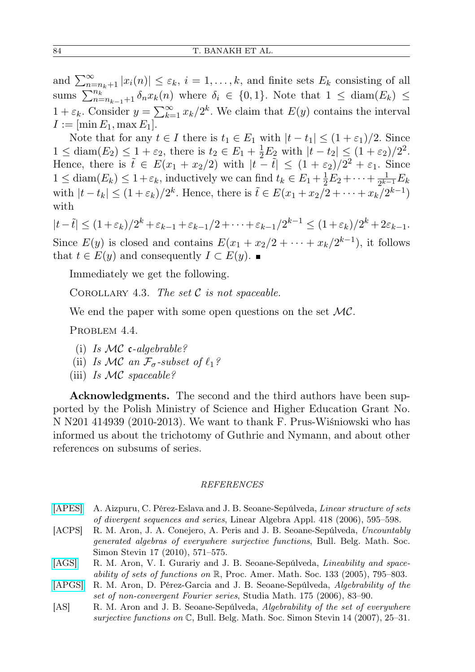and  $\sum_{n=n_k+1}^{\infty} |x_i(n)| \leq \varepsilon_k$ ,  $i = 1, ..., k$ , and finite sets  $E_k$  consisting of all sums  $\sum_{n=n_{k-1}+1}^{n_k} \delta_n x_k(n)$  where  $\delta_i \in \{0,1\}$ . Note that  $1 \leq \text{diam}(E_k) \leq$  $1 + \varepsilon_k$ . Consider  $y = \sum_{k=1}^{\infty} x_k/2^k$ . We claim that  $E(y)$  contains the interval  $I := [\min E_1, \max E_1].$ 

Note that for any  $t \in I$  there is  $t_1 \in E_1$  with  $|t - t_1| \leq (1 + \varepsilon_1)/2$ . Since  $1 \leq \text{diam}(E_2) \leq 1 + \varepsilon_2$ , there is  $t_2 \in E_1 + \frac{1}{2}E_2$  with  $|t - t_2| \leq (1 + \varepsilon_2)/2^2$ . Hence, there is  $\tilde{t} \in E(x_1 + x_2/2)$  with  $|t - \tilde{t}| \leq (1 + \varepsilon_2)/2^2 + \varepsilon_1$ . Since  $1 \leq \text{diam}(E_k) \leq 1 + \varepsilon_k$ , inductively we can find  $t_k \in E_1 + \frac{1}{2}E_2 + \cdots + \frac{1}{2^{k}}$  $\frac{1}{2^{k-1}}E_k$ with  $|t-t_k| \leq (1+\varepsilon_k)/2^k$ . Hence, there is  $\tilde{t} \in E(x_1+x_2/2+\cdots+x_k/2^{k-1})$ with

 $|t-\tilde{t}| \leq (1+\varepsilon_k)/2^k + \varepsilon_{k-1} + \varepsilon_{k-1}/2 + \cdots + \varepsilon_{k-1}/2^{k-1} \leq (1+\varepsilon_k)/2^k + 2\varepsilon_{k-1}.$ Since  $E(y)$  is closed and contains  $E(x_1 + x_2/2 + \cdots + x_k/2^{k-1})$ , it follows that  $t \in E(y)$  and consequently  $I \subset E(y)$ .

Immediately we get the following.

COROLLARY 4.3. The set  $C$  is not spaceable.

We end the paper with some open questions on the set  $MC$ .

PROBLEM 4.4.

- (i) Is  $MC$  c-algebrable?
- (ii) Is MC an  $\mathcal{F}_{\sigma}$ -subset of  $\ell_1$ ?
- (iii) Is  $MC$  spaceable?

Acknowledgments. The second and the third authors have been supported by the Polish Ministry of Science and Higher Education Grant No. N N201 414939 (2010-2013). We want to thank F. Prus-Wiśniowski who has informed us about the trichotomy of Guthrie and Nymann, and about other references on subsums of series.

#### REFERENCES

- [\[APES\]](http://dx.doi.org/10.1016/j.laa.2006.02.041) A. Aizpuru, C. Pérez-Eslava and J. B. Seoane-Sepúlveda, Linear structure of sets of divergent sequences and series, Linear Algebra Appl. 418 (2006), 595–598.
- <span id="page-9-0"></span>[ACPS] R. M. Aron, J. A. Conejero, A. Peris and J. B. Seoane-Sepúlveda, Uncountably generated algebras of everywhere surjective functions, Bull. Belg. Math. Soc. Simon Stevin 17 (2010), 571–575.
- <span id="page-9-3"></span>[\[AGS\]](http://dx.doi.org/10.1090/S0002-9939-04-07533-1) R. M. Aron, V. I. Gurariy and J. B. Seoane-Sepúlveda, *Lineability and space*ability of sets of functions on  $\mathbb{R}$ , Proc. Amer. Math. Soc. 133 (2005), 795–803.
- <span id="page-9-2"></span>[\[APGS\]](http://dx.doi.org/10.4064/sm175-1-5) R. M. Aron, D. Pérez-Garcia and J. B. Seoane-Sepúlveda, Algebrability of the set of non-convergent Fourier series, Studia Math. 175 (2006), 83–90.
- <span id="page-9-1"></span>[AS] R. M. Aron and J. B. Seoane-Sepúlveda, Algebrability of the set of everywhere surjective functions on  $\mathbb C$ , Bull. Belg. Math. Soc. Simon Stevin 14 (2007), 25–31.